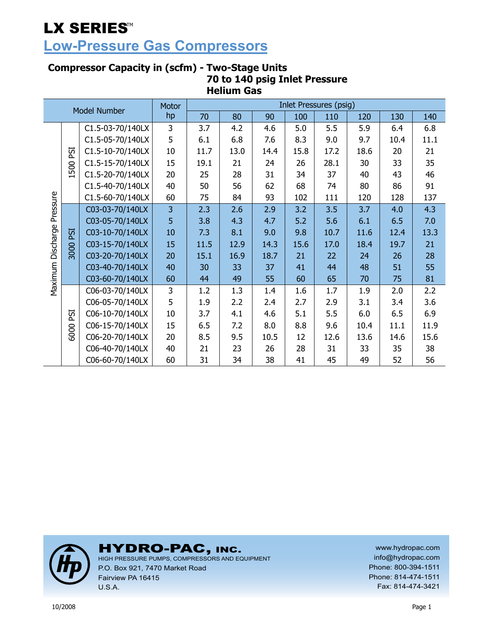## **Low-Pressure Gas Compressors**

### **Compressor Capacity in (scfm) - Two-Stage Units 70 to 140 psig Inlet Pressure Helium Gas**

| Model Number |            | <b>Motor</b>     |    |      |      |      | Inlet Pressures (psig) |      |      |      |      |
|--------------|------------|------------------|----|------|------|------|------------------------|------|------|------|------|
|              |            |                  | hp | 70   | 80   | 90   | 100                    | 110  | 120  | 130  | 140  |
|              |            | C1.5-03-70/140LX | 3  | 3.7  | 4.2  | 4.6  | 5.0                    | 5.5  | 5.9  | 6.4  | 6.8  |
|              |            | C1.5-05-70/140LX | 5  | 6.1  | 6.8  | 7.6  | 8.3                    | 9.0  | 9.7  | 10.4 | 11.1 |
|              | ESI        | C1.5-10-70/140LX | 10 | 11.7 | 13.0 | 14.4 | 15.8                   | 17.2 | 18.6 | 20   | 21   |
|              | 500        | C1.5-15-70/140LX | 15 | 19.1 | 21   | 24   | 26                     | 28.1 | 30   | 33   | 35   |
|              |            | C1.5-20-70/140LX | 20 | 25   | 28   | 31   | 34                     | 37   | 40   | 43   | 46   |
|              |            | C1.5-40-70/140LX | 40 | 50   | 56   | 62   | 68                     | 74   | 80   | 86   | 91   |
|              |            | C1.5-60-70/140LX | 60 | 75   | 84   | 93   | 102                    | 111  | 120  | 128  | 137  |
| Pressure     |            | C03-03-70/140LX  | 3  | 2.3  | 2.6  | 2.9  | 3.2                    | 3.5  | 3.7  | 4.0  | 4.3  |
|              | ESI        | C03-05-70/140LX  | 5  | 3.8  | 4.3  | 4.7  | 5.2                    | 5.6  | 6.1  | 6.5  | 7.0  |
|              |            | C03-10-70/140LX  | 10 | 7.3  | 8.1  | 9.0  | 9.8                    | 10.7 | 11.6 | 12.4 | 13.3 |
| Discharge    | 3000       | C03-15-70/140LX  | 15 | 11.5 | 12.9 | 14.3 | 15.6                   | 17.0 | 18.4 | 19.7 | 21   |
|              |            | C03-20-70/140LX  | 20 | 15.1 | 16.9 | 18.7 | 21                     | 22   | 24   | 26   | 28   |
|              |            | C03-40-70/140LX  | 40 | 30   | 33   | 37   | 41                     | 44   | 48   | 51   | 55   |
| Maximum      |            | C03-60-70/140LX  | 60 | 44   | 49   | 55   | 60                     | 65   | 70   | 75   | 81   |
|              |            | C06-03-70/140LX  | 3  | 1.2  | 1.3  | 1.4  | 1.6                    | 1.7  | 1.9  | 2.0  | 2.2  |
|              |            | C06-05-70/140LX  | 5  | 1.9  | 2.2  | 2.4  | 2.7                    | 2.9  | 3.1  | 3.4  | 3.6  |
|              | <b>ESI</b> | C06-10-70/140LX  | 10 | 3.7  | 4.1  | 4.6  | 5.1                    | 5.5  | 6.0  | 6.5  | 6.9  |
|              |            | C06-15-70/140LX  | 15 | 6.5  | 7.2  | 8.0  | 8.8                    | 9.6  | 10.4 | 11.1 | 11.9 |
|              | 6000       | C06-20-70/140LX  | 20 | 8.5  | 9.5  | 10.5 | 12                     | 12.6 | 13.6 | 14.6 | 15.6 |
|              |            | C06-40-70/140LX  | 40 | 21   | 23   | 26   | 28                     | 31   | 33   | 35   | 38   |
|              |            | C06-60-70/140LX  | 60 | 31   | 34   | 38   | 41                     | 45   | 49   | 52   | 56   |



HYDRO-PAC, INC. HIGH PRESSURE PUMPS, COMPRESSORS AND EQUIPMENT

P.O. Box 921, 7470 Market Road Fairview PA 16415 U.S.A.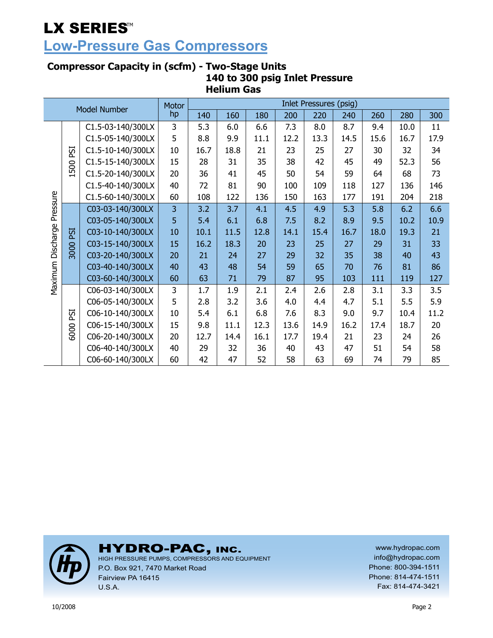## **Low-Pressure Gas Compressors**

### **Compressor Capacity in (scfm) - Two-Stage Units 140 to 300 psig Inlet Pressure Helium Gas**

| <b>Model Number</b> |      | <b>Motor</b>      | <b>Inlet Pressures (psig)</b> |      |      |      |      |      |      |      |      |      |  |
|---------------------|------|-------------------|-------------------------------|------|------|------|------|------|------|------|------|------|--|
|                     |      |                   | hp                            | 140  | 160  | 180  | 200  | 220  | 240  | 260  | 280  | 300  |  |
|                     |      | C1.5-03-140/300LX | 3                             | 5.3  | 6.0  | 6.6  | 7.3  | 8.0  | 8.7  | 9.4  | 10.0 | 11   |  |
|                     |      | C1.5-05-140/300LX | 5                             | 8.8  | 9.9  | 11.1 | 12.2 | 13.3 | 14.5 | 15.6 | 16.7 | 17.9 |  |
|                     | ESI  | C1.5-10-140/300LX | 10                            | 16.7 | 18.8 | 21   | 23   | 25   | 27   | 30   | 32   | 34   |  |
|                     |      | C1.5-15-140/300LX | 15                            | 28   | 31   | 35   | 38   | 42   | 45   | 49   | 52.3 | 56   |  |
|                     | 1500 | C1.5-20-140/300LX | 20                            | 36   | 41   | 45   | 50   | 54   | 59   | 64   | 68   | 73   |  |
|                     |      | C1.5-40-140/300LX | 40                            | 72   | 81   | 90   | 100  | 109  | 118  | 127  | 136  | 146  |  |
| Pressure            |      | C1.5-60-140/300LX | 60                            | 108  | 122  | 136  | 150  | 163  | 177  | 191  | 204  | 218  |  |
|                     |      | C03-03-140/300LX  | 3                             | 3.2  | 3.7  | 4.1  | 4.5  | 4.9  | 5.3  | 5.8  | 6.2  | 6.6  |  |
|                     | ESI  | C03-05-140/300LX  | 5                             | 5.4  | 6.1  | 6.8  | 7.5  | 8.2  | 8.9  | 9.5  | 10.2 | 10.9 |  |
| Discharge           |      | C03-10-140/300LX  | 10                            | 10.1 | 11.5 | 12.8 | 14.1 | 15.4 | 16.7 | 18.0 | 19.3 | 21   |  |
|                     |      | C03-15-140/300LX  | 15                            | 16.2 | 18.3 | 20   | 23   | 25   | 27   | 29   | 31   | 33   |  |
|                     | 3000 | C03-20-140/300LX  | 20                            | 21   | 24   | 27   | 29   | 32   | 35   | 38   | 40   | 43   |  |
|                     |      | C03-40-140/300LX  | 40                            | 43   | 48   | 54   | 59   | 65   | 70   | 76   | 81   | 86   |  |
| Maximum             |      | C03-60-140/300LX  | 60                            | 63   | 71   | 79   | 87   | 95   | 103  | 111  | 119  | 127  |  |
|                     |      | C06-03-140/300LX  | 3                             | 1.7  | 1.9  | 2.1  | 2.4  | 2.6  | 2.8  | 3.1  | 3.3  | 3.5  |  |
|                     |      | C06-05-140/300LX  | 5                             | 2.8  | 3.2  | 3.6  | 4.0  | 4.4  | 4.7  | 5.1  | 5.5  | 5.9  |  |
|                     | PSI  | C06-10-140/300LX  | 10                            | 5.4  | 6.1  | 6.8  | 7.6  | 8.3  | 9.0  | 9.7  | 10.4 | 11.2 |  |
|                     |      | C06-15-140/300LX  | 15                            | 9.8  | 11.1 | 12.3 | 13.6 | 14.9 | 16.2 | 17.4 | 18.7 | 20   |  |
|                     | 6000 | C06-20-140/300LX  | 20                            | 12.7 | 14.4 | 16.1 | 17.7 | 19.4 | 21   | 23   | 24   | 26   |  |
|                     |      | C06-40-140/300LX  | 40                            | 29   | 32   | 36   | 40   | 43   | 47   | 51   | 54   | 58   |  |
|                     |      | C06-60-140/300LX  | 60                            | 42   | 47   | 52   | 58   | 63   | 69   | 74   | 79   | 85   |  |



HYDRO-PAC, INC. HIGH PRESSURE PUMPS, COMPRESSORS AND EQUIPMENT

P.O. Box 921, 7470 Market Road Fairview PA 16415 U.S.A.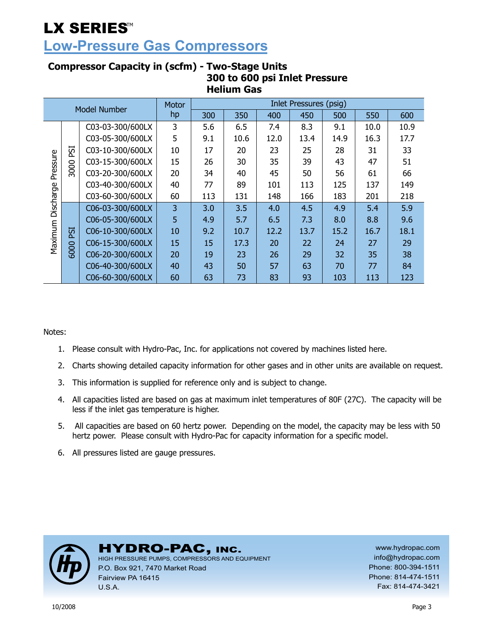### **Low-Pressure Gas Compressors**

#### Inlet Pressures (psig) Model Number Motor hp 300 | 350 | 400 | 450 | 500 | 550 | 600  $\text{CO}3-03-300/600$ LX 3 5.6 6.5 7.4 8.3 9.1 10.0 10.9  $\text{CO3-05-300/600LX}$  5 9.1 10.6 12.0 13.4 14.9 16.3 17.7 3000 PSI  $\text{CO3-10-300/600LX}$  10 17 20 23 25 28 31 31 Maximum Discharge Pressure Maximum Discharge Pressure  $\text{CO3-15-300/600LX}$  15  $\text{26}$  30 35 39 43 43 47 51  $\text{CO3-20-300/600LX}$  20 34 40 45 50 56 61 61  $\text{CO}3-40-300/600$ LX 40 77 89 101 113 125 137 149  $\text{CO3-60-300/600LX}$  60 113 131 148 166 183 201 218  $\overline{CO6-03-300/600}$ LX 3 3.0 3.0 3.5 4.0 4.5 4.9 5.4 5.9  $\overline{CO6-05-300/600}$ LX | 5 | 4.9 | 5.7 | 6.5 | 7.3 | 8.0 | 8.8 | 9.6 6000 PSI  $CO6-10-300/600LX$  10 9.2 10.7 12.2 13.7 15.2 16.7 18.1  $\text{CO6-15-300/600LX}$  15 15 17.3 20 22 24 24 27 29  $\overline{CO6-20-300/600}$ LX 20 19 23 26 26 32 32 35 38  $\text{CO6-40-300/600LX}$  40 43 50 57 63 70 70 77 84  $\overline{CO6-60-300/600}$ LX 60 63 73 83 93 103 113 123

### **Compressor Capacity in (scfm) - Two-Stage Units 300 to 600 psi Inlet Pressure Helium Gas**

Notes:

- 1. Please consult with Hydro-Pac, Inc. for applications not covered by machines listed here.
- 2. Charts showing detailed capacity information for other gases and in other units are available on request.
- 3. This information is supplied for reference only and is subject to change.
- 4. All capacities listed are based on gas at maximum inlet temperatures of 80F (27C). The capacity will be less if the inlet gas temperature is higher.
- 5. All capacities are based on 60 hertz power. Depending on the model, the capacity may be less with 50 hertz power. Please consult with Hydro-Pac for capacity information for a specific model.
- 6. All pressures listed are gauge pressures.



### HYDRO-PAC, INC.

HIGH PRESSURE PUMPS, COMPRESSORS AND EQUIPMENT P.O. Box 921, 7470 Market Road Fairview PA 16415 U.S.A.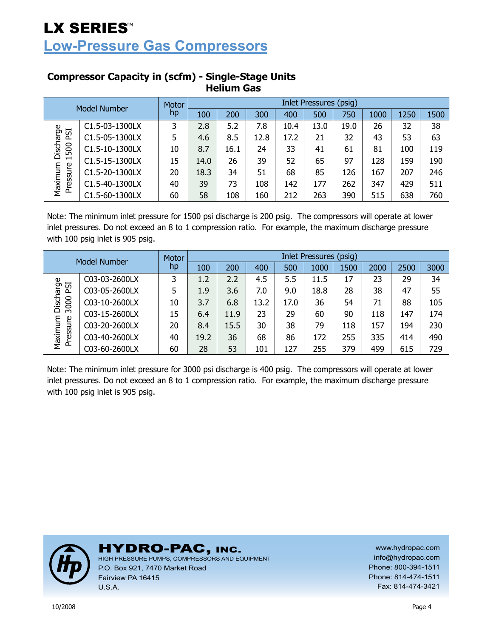## LX SERIES<sup>M</sup> **Low-Pressure Gas Compressors**

| Model Number            |                             | Motor | Inlet Pressures (psig) |      |      |      |      |      |      |      |      |  |  |
|-------------------------|-----------------------------|-------|------------------------|------|------|------|------|------|------|------|------|--|--|
|                         |                             | hp    | 100                    | 200  | 300  | 400  | 500  | 750  | 1000 | 1250 | 1500 |  |  |
|                         | C <sub>1</sub> .5-03-1300LX | 3     | 2.8                    | 5.2  | 7.8  | 10.4 | 13.0 | 19.0 | 26   | 32   | 38   |  |  |
| Discharge<br><b>ISI</b> | C1.5-05-1300LX              | 5     | 4.6                    | 8.5  | 12.8 | 17.2 | 21   | 32   | 43   | 53   | 63   |  |  |
| 500                     | C1.5-10-1300LX              | 10    | 8.7                    | 16.1 | 24   | 33   | 41   | 61   | 81   | 100  | 119  |  |  |
| $\blacksquare$          | C1.5-15-1300LX              | 15    | 14.0                   | 26   | 39   | 52   | 65   | 97   | 128  | 159  | 190  |  |  |
| Maximum<br>Pressure     | C1.5-20-1300LX              | 20    | 18.3                   | 34   | 51   | 68   | 85   | 126  | 167  | 207  | 246  |  |  |
|                         | C1.5-40-1300LX              | 40    | 39                     | 73   | 108  | 142  | 177  | 262  | 347  | 429  | 511  |  |  |
|                         | C1.5-60-1300LX              | 60    | 58                     | 108  | 160  | 212  | 263  | 390  | 515  | 638  | 760  |  |  |

### **Compressor Capacity in (scfm) - Single-Stage Units Helium Gas**

Note: The minimum inlet pressure for 1500 psi discharge is 200 psig. The compressors will operate at lower inlet pressures. Do not exceed an 8 to 1 compression ratio. For example, the maximum discharge pressure with 100 psig inlet is 905 psig.

| Model Number       |               | Motor | Inlet Pressures (psig) |      |      |      |      |      |      |      |      |  |
|--------------------|---------------|-------|------------------------|------|------|------|------|------|------|------|------|--|
|                    |               | hp    | 100                    | 200  | 400  | 500  | 1000 | 1500 | 2000 | 2500 | 3000 |  |
|                    | C03-03-2600LX | 3     | 1.2                    | 2.2  | 4.5  | 5.5  | 11.5 | 17   | 23   | 29   | 34   |  |
| ESI                | C03-05-2600LX | 5     | 1.9                    | 3.6  | 7.0  | 9.0  | 18.8 | 28   | 38   | 47   | 55   |  |
| Discharge<br>3000  | C03-10-2600LX | 10    | 3.7                    | 6.8  | 13.2 | 17.0 | 36   | 54   | 71   | 88   | 105  |  |
|                    | C03-15-2600LX | 15    | 6.4                    | 11.9 | 23   | 29   | 60   | 90   | 118  | 147  | 174  |  |
| Maximum<br>ressure | C03-20-2600LX | 20    | 8.4                    | 15.5 | 30   | 38   | 79   | 118  | 157  | 194  | 230  |  |
|                    | C03-40-2600LX | 40    | 19.2                   | 36   | 68   | 86   | 172  | 255  | 335  | 414  | 490  |  |
| ā                  | C03-60-2600LX | 60    | 28                     | 53   | 101  | 127  | 255  | 379  | 499  | 615  | 729  |  |

Note: The minimum inlet pressure for 3000 psi discharge is 400 psig. The compressors will operate at lower inlet pressures. Do not exceed an 8 to 1 compression ratio. For example, the maximum discharge pressure with 100 psig inlet is 905 psig.



HYDRO-PAC, INC. HIGH PRESSURE PUMPS, COMPRESSORS AND EQUIPMENT

P.O. Box 921, 7470 Market Road Fairview PA 16415 U.S.A.